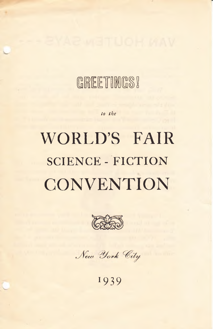## GREETINGS!

to the

## WORLD'S FAIR **SCIENCE - FICTION** CONVENTION



New York City

1939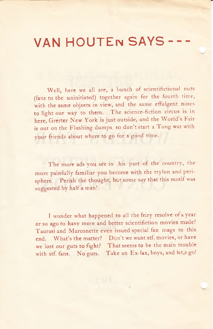## VAN HOUTEn SAYS----

Well, here we all are, a bunch of scientifictional nuts (fans to the uninitiated) together again for the fourth time, with the same objects in view, and the same effulgent noses to light our way to them. The science-fiction circus is in here, Grerter New York is just outside, and the World's Fair is out on the Flushing dumps, so don't start a Tong war with your friends about where to go for a good time.

The more ads you see in .his part of the country, the more painfully familiar you become with the trylon and perisphere. Perish the thought, but some say that this motif was suggested by half a man!

I wonder what happened to all the feiry resolve of a year or so ago to have more and better scientifiction movies made? Taurasi and Marconette even issued special fan mags to this end. What's the matter? Don't we want stf. movies, or have we lost our guts to fight? That seems to be the main trouble with stf. fans. No guts. Take an Ex-lax, boys, and let,s go!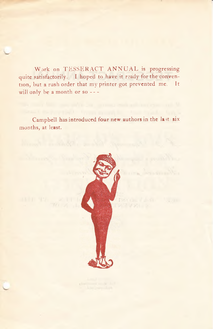Work on TESSERACT ANNUAL is progressing quite satisfactorily. I hoped to have it ready for the convention, but a rush order that my printer got prevented me. It will only be a month or so ---

Campbell has introduced four new authors in the last six months, at least.